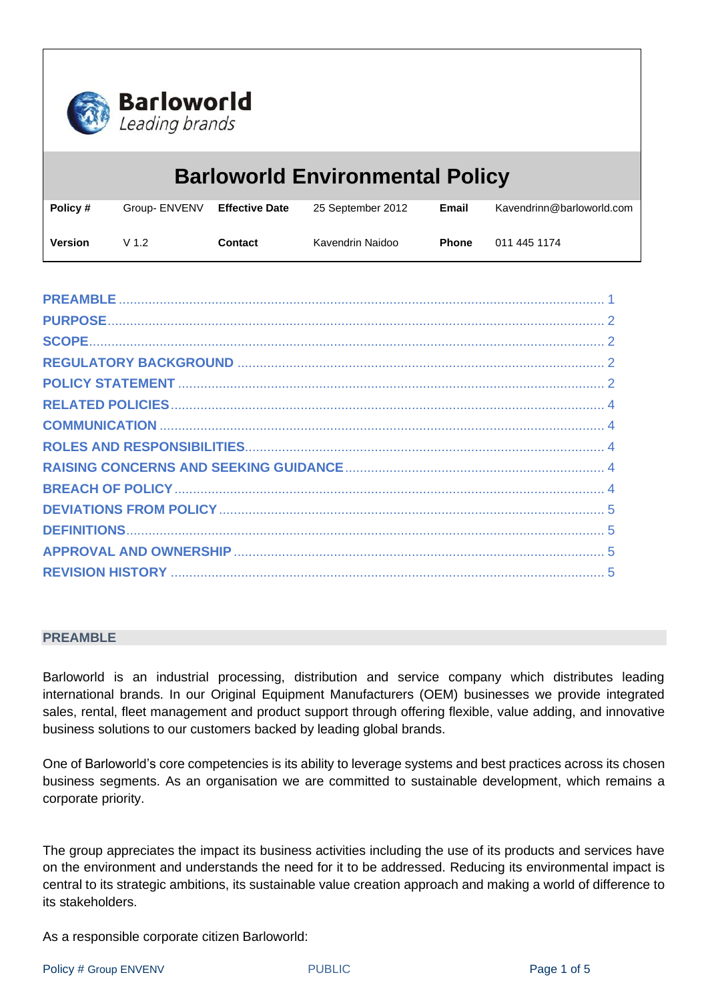

| <b>Barloworld Environmental Policy</b> |                  |                       |                   |              |                           |
|----------------------------------------|------------------|-----------------------|-------------------|--------------|---------------------------|
| Policy #                               | Group- ENVENV    | <b>Effective Date</b> | 25 September 2012 | Email        | Kavendrinn@barloworld.com |
| <b>Version</b>                         | V <sub>1.2</sub> | Contact               | Kavendrin Naidoo  | <b>Phone</b> | 011 445 1174              |

#### <span id="page-0-0"></span>**PREAMBLE**

Barloworld is an industrial processing, distribution and service company which distributes leading international brands. In our Original Equipment Manufacturers (OEM) businesses we provide integrated sales, rental, fleet management and product support through offering flexible, value adding, and innovative business solutions to our customers backed by leading global brands.

One of Barloworld's core competencies is its ability to leverage systems and best practices across its chosen business segments. As an organisation we are committed to sustainable development, which remains a corporate priority.

The group appreciates the impact its business activities including the use of its products and services have on the environment and understands the need for it to be addressed. Reducing its environmental impact is central to its strategic ambitions, its sustainable value creation approach and making a world of difference to its stakeholders.

As a responsible corporate citizen Barloworld: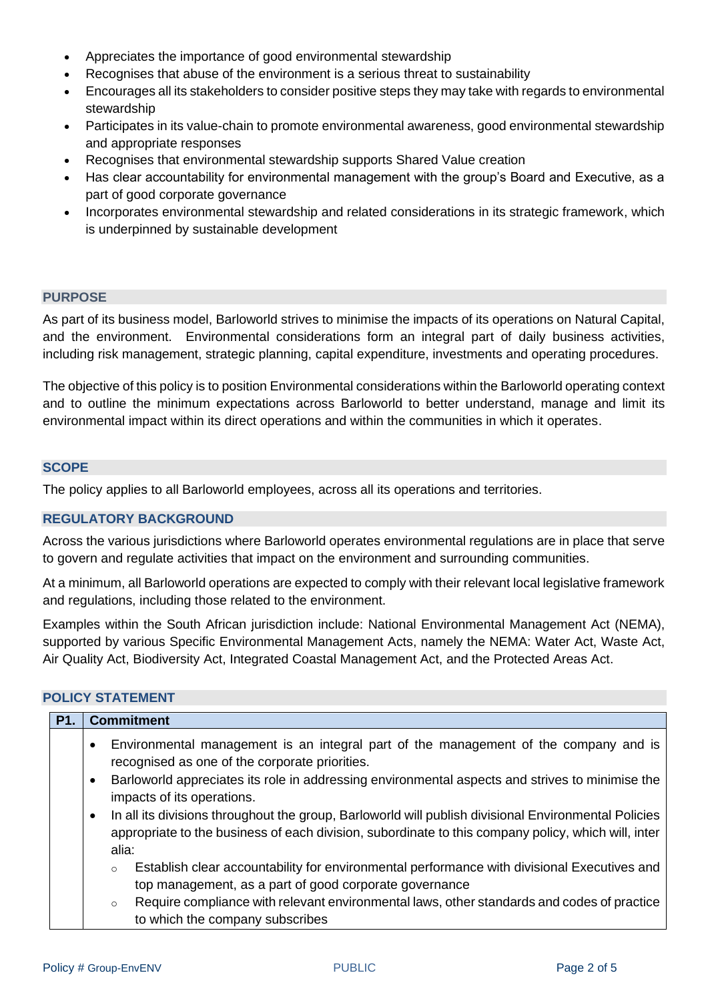- Appreciates the importance of good environmental stewardship
- Recognises that abuse of the environment is a serious threat to sustainability
- Encourages all its stakeholders to consider positive steps they may take with regards to environmental stewardship
- Participates in its value-chain to promote environmental awareness, good environmental stewardship and appropriate responses
- Recognises that environmental stewardship supports Shared Value creation
- Has clear accountability for environmental management with the group's Board and Executive, as a part of good corporate governance
- Incorporates environmental stewardship and related considerations in its strategic framework, which is underpinned by sustainable development

## <span id="page-1-0"></span>**PURPOSE**

As part of its business model, Barloworld strives to minimise the impacts of its operations on Natural Capital, and the environment. Environmental considerations form an integral part of daily business activities, including risk management, strategic planning, capital expenditure, investments and operating procedures.

The objective of this policy is to position Environmental considerations within the Barloworld operating context and to outline the minimum expectations across Barloworld to better understand, manage and limit its environmental impact within its direct operations and within the communities in which it operates.

#### <span id="page-1-1"></span>**SCOPE**

The policy applies to all Barloworld employees, across all its operations and territories.

# <span id="page-1-2"></span>**REGULATORY BACKGROUND**

Across the various jurisdictions where Barloworld operates environmental regulations are in place that serve to govern and regulate activities that impact on the environment and surrounding communities.

At a minimum, all Barloworld operations are expected to comply with their relevant local legislative framework and regulations, including those related to the environment.

Examples within the South African jurisdiction include: National Environmental Management Act (NEMA), supported by various Specific Environmental Management Acts, namely the NEMA: Water Act, Waste Act, Air Quality Act, Biodiversity Act, Integrated Coastal Management Act, and the Protected Areas Act.

# <span id="page-1-3"></span>**POLICY STATEMENT**

| <b>P1.</b> | <b>Commitment</b>                                                                                                                                                                                                                 |
|------------|-----------------------------------------------------------------------------------------------------------------------------------------------------------------------------------------------------------------------------------|
|            | Environmental management is an integral part of the management of the company and is<br>$\bullet$<br>recognised as one of the corporate priorities.                                                                               |
|            | Barloworld appreciates its role in addressing environmental aspects and strives to minimise the<br>$\bullet$<br>impacts of its operations.                                                                                        |
|            | In all its divisions throughout the group, Barloworld will publish divisional Environmental Policies<br>$\bullet$<br>appropriate to the business of each division, subordinate to this company policy, which will, inter<br>alia: |
|            | Establish clear accountability for environmental performance with divisional Executives and<br>$\circ$<br>top management, as a part of good corporate governance                                                                  |
|            | Require compliance with relevant environmental laws, other standards and codes of practice<br>$\circ$<br>to which the company subscribes                                                                                          |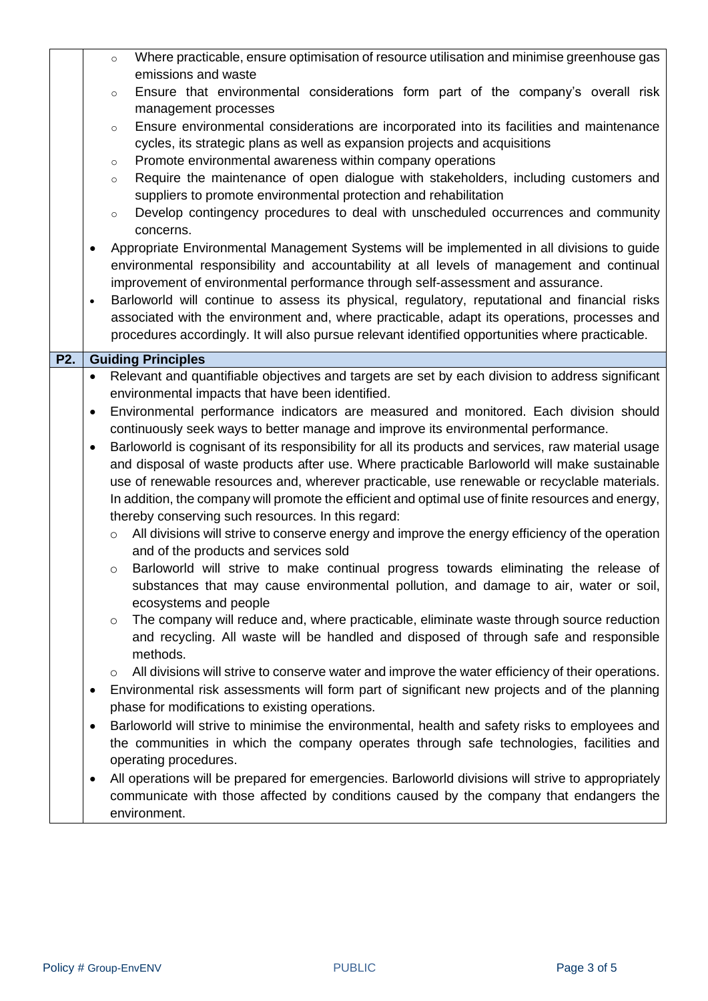<span id="page-2-0"></span>

|                  | Where practicable, ensure optimisation of resource utilisation and minimise greenhouse gas<br>$\circ$<br>emissions and waste                                                                                                                                                                                                                                         |
|------------------|----------------------------------------------------------------------------------------------------------------------------------------------------------------------------------------------------------------------------------------------------------------------------------------------------------------------------------------------------------------------|
|                  | Ensure that environmental considerations form part of the company's overall risk<br>$\circ$                                                                                                                                                                                                                                                                          |
|                  | management processes                                                                                                                                                                                                                                                                                                                                                 |
|                  | Ensure environmental considerations are incorporated into its facilities and maintenance<br>$\circ$<br>cycles, its strategic plans as well as expansion projects and acquisitions                                                                                                                                                                                    |
|                  | Promote environmental awareness within company operations<br>$\circ$                                                                                                                                                                                                                                                                                                 |
|                  | Require the maintenance of open dialogue with stakeholders, including customers and<br>$\circ$                                                                                                                                                                                                                                                                       |
|                  | suppliers to promote environmental protection and rehabilitation                                                                                                                                                                                                                                                                                                     |
|                  | Develop contingency procedures to deal with unscheduled occurrences and community<br>$\circ$                                                                                                                                                                                                                                                                         |
|                  | concerns.                                                                                                                                                                                                                                                                                                                                                            |
|                  | Appropriate Environmental Management Systems will be implemented in all divisions to guide<br>$\bullet$<br>environmental responsibility and accountability at all levels of management and continual                                                                                                                                                                 |
|                  | improvement of environmental performance through self-assessment and assurance.                                                                                                                                                                                                                                                                                      |
|                  | Barloworld will continue to assess its physical, regulatory, reputational and financial risks<br>$\bullet$                                                                                                                                                                                                                                                           |
|                  | associated with the environment and, where practicable, adapt its operations, processes and                                                                                                                                                                                                                                                                          |
|                  | procedures accordingly. It will also pursue relevant identified opportunities where practicable.                                                                                                                                                                                                                                                                     |
| P <sub>2</sub> . | <b>Guiding Principles</b>                                                                                                                                                                                                                                                                                                                                            |
|                  | Relevant and quantifiable objectives and targets are set by each division to address significant<br>$\bullet$                                                                                                                                                                                                                                                        |
|                  | environmental impacts that have been identified.                                                                                                                                                                                                                                                                                                                     |
|                  | Environmental performance indicators are measured and monitored. Each division should<br>$\bullet$                                                                                                                                                                                                                                                                   |
|                  | continuously seek ways to better manage and improve its environmental performance.<br>Barloworld is cognisant of its responsibility for all its products and services, raw material usage                                                                                                                                                                            |
|                  | $\bullet$<br>and disposal of waste products after use. Where practicable Barloworld will make sustainable                                                                                                                                                                                                                                                            |
|                  | use of renewable resources and, wherever practicable, use renewable or recyclable materials.                                                                                                                                                                                                                                                                         |
|                  | In addition, the company will promote the efficient and optimal use of finite resources and energy,                                                                                                                                                                                                                                                                  |
|                  | thereby conserving such resources. In this regard:                                                                                                                                                                                                                                                                                                                   |
|                  | All divisions will strive to conserve energy and improve the energy efficiency of the operation<br>$\circ$                                                                                                                                                                                                                                                           |
|                  | and of the products and services sold<br>Barloworld will strive to make continual progress towards eliminating the release of                                                                                                                                                                                                                                        |
|                  | $\circ$<br>substances that may cause environmental pollution, and damage to air, water or soil,                                                                                                                                                                                                                                                                      |
|                  | ecosystems and people                                                                                                                                                                                                                                                                                                                                                |
|                  | The company will reduce and, where practicable, eliminate waste through source reduction<br>$\circ$                                                                                                                                                                                                                                                                  |
|                  | and recycling. All waste will be handled and disposed of through safe and responsible                                                                                                                                                                                                                                                                                |
|                  | methods.                                                                                                                                                                                                                                                                                                                                                             |
|                  | $\circ$                                                                                                                                                                                                                                                                                                                                                              |
|                  | $\bullet$                                                                                                                                                                                                                                                                                                                                                            |
|                  |                                                                                                                                                                                                                                                                                                                                                                      |
|                  |                                                                                                                                                                                                                                                                                                                                                                      |
|                  |                                                                                                                                                                                                                                                                                                                                                                      |
|                  | the communities in which the company operates through safe technologies, facilities and                                                                                                                                                                                                                                                                              |
|                  | operating procedures.<br>$\bullet$                                                                                                                                                                                                                                                                                                                                   |
|                  | All operations will be prepared for emergencies. Barloworld divisions will strive to appropriately<br>communicate with those affected by conditions caused by the company that endangers the                                                                                                                                                                         |
|                  | All divisions will strive to conserve water and improve the water efficiency of their operations.<br>Environmental risk assessments will form part of significant new projects and of the planning<br>phase for modifications to existing operations.<br>Barloworld will strive to minimise the environmental, health and safety risks to employees and<br>$\bullet$ |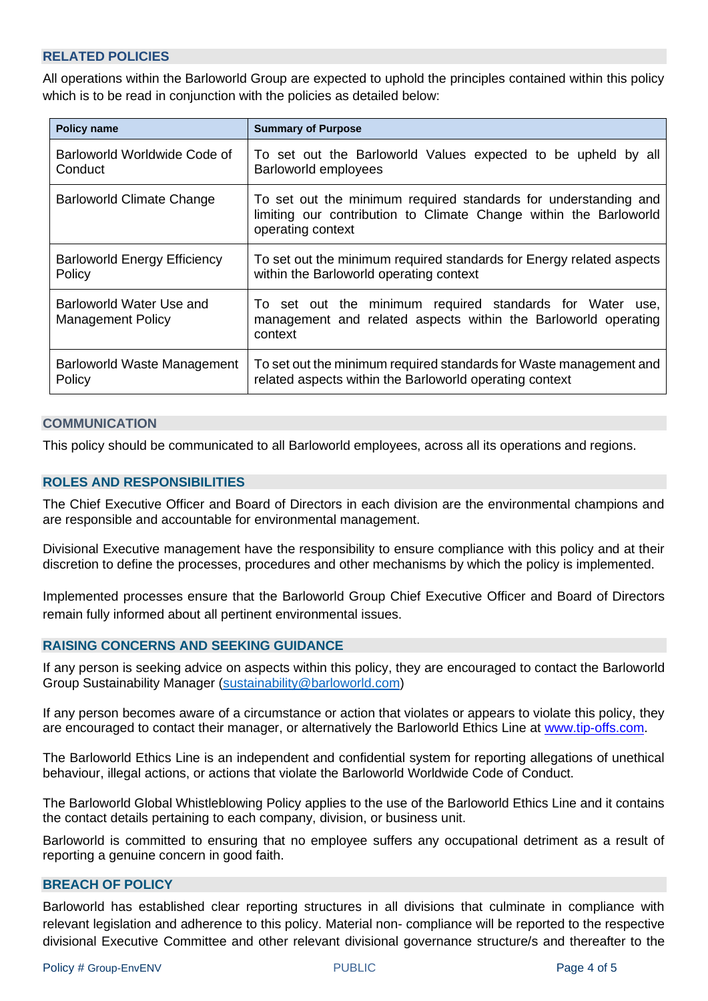# **RELATED POLICIES**

All operations within the Barloworld Group are expected to uphold the principles contained within this policy which is to be read in conjunction with the policies as detailed below:

| <b>Policy name</b>                                   | <b>Summary of Purpose</b>                                                                                                                                 |  |  |
|------------------------------------------------------|-----------------------------------------------------------------------------------------------------------------------------------------------------------|--|--|
| Barloworld Worldwide Code of                         | To set out the Barloworld Values expected to be upheld by all                                                                                             |  |  |
| Conduct                                              | Barloworld employees                                                                                                                                      |  |  |
| Barloworld Climate Change                            | To set out the minimum required standards for understanding and<br>limiting our contribution to Climate Change within the Barloworld<br>operating context |  |  |
| <b>Barloworld Energy Efficiency</b>                  | To set out the minimum required standards for Energy related aspects                                                                                      |  |  |
| Policy                                               | within the Barloworld operating context                                                                                                                   |  |  |
| Barloworld Water Use and<br><b>Management Policy</b> | To set out the minimum required standards for Water use,<br>management and related aspects within the Barloworld operating<br>context                     |  |  |
| Barloworld Waste Management                          | To set out the minimum required standards for Waste management and                                                                                        |  |  |
| Policy                                               | related aspects within the Barloworld operating context                                                                                                   |  |  |

#### <span id="page-3-0"></span>**COMMUNICATION**

<span id="page-3-1"></span>This policy should be communicated to all Barloworld employees, across all its operations and regions.

## **ROLES AND RESPONSIBILITIES**

The Chief Executive Officer and Board of Directors in each division are the environmental champions and are responsible and accountable for environmental management.

Divisional Executive management have the responsibility to ensure compliance with this policy and at their discretion to define the processes, procedures and other mechanisms by which the policy is implemented.

Implemented processes ensure that the Barloworld Group Chief Executive Officer and Board of Directors remain fully informed about all pertinent environmental issues.

## <span id="page-3-2"></span>**RAISING CONCERNS AND SEEKING GUIDANCE**

If any person is seeking advice on aspects within this policy, they are encouraged to contact the Barloworld Group Sustainability Manager [\(sustainability@barloworld.com\)](mailto:sustainability@barloworld.com)

If any person becomes aware of a circumstance or action that violates or appears to violate this policy, they are encouraged to contact their manager, or alternatively the Barloworld Ethics Line at [www.tip-offs.com.](http://www.top-offs.com/)

The Barloworld Ethics Line is an independent and confidential system for reporting allegations of unethical behaviour, illegal actions, or actions that violate the Barloworld Worldwide Code of Conduct.

The Barloworld Global Whistleblowing Policy applies to the use of the Barloworld Ethics Line and it contains the contact details pertaining to each company, division, or business unit.

Barloworld is committed to ensuring that no employee suffers any occupational detriment as a result of reporting a genuine concern in good faith.

#### <span id="page-3-3"></span>**BREACH OF POLICY**

Barloworld has established clear reporting structures in all divisions that culminate in compliance with relevant legislation and adherence to this policy. Material non- compliance will be reported to the respective divisional Executive Committee and other relevant divisional governance structure/s and thereafter to the